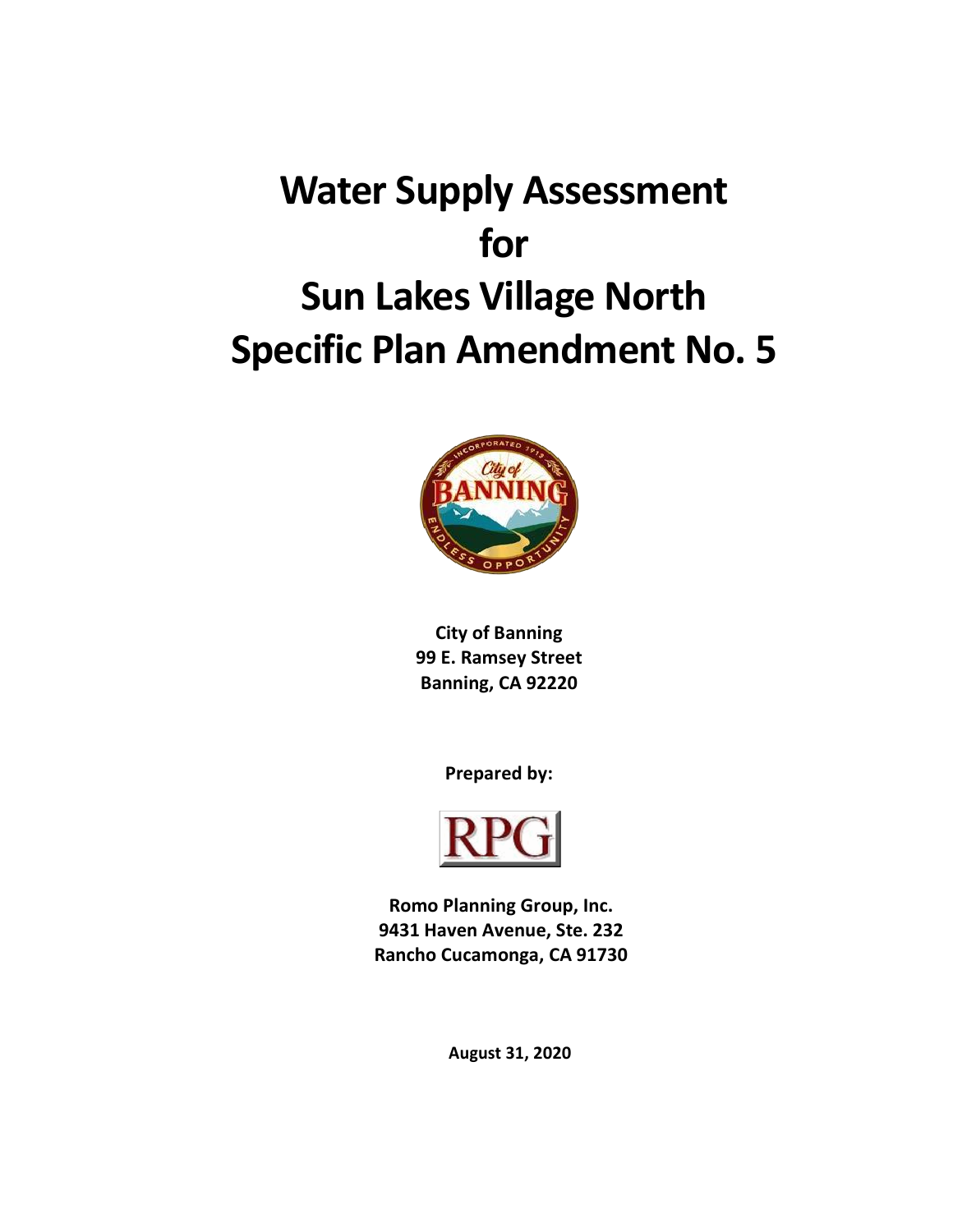# **Water Supply Assessment for Sun Lakes Village North Specific Plan Amendment No. 5**



**City of Banning 99 E. Ramsey Street Banning, CA 92220**

**Prepared by:**



**Romo Planning Group, Inc. 9431 Haven Avenue, Ste. 232 Rancho Cucamonga, CA 91730**

**August 31, 2020**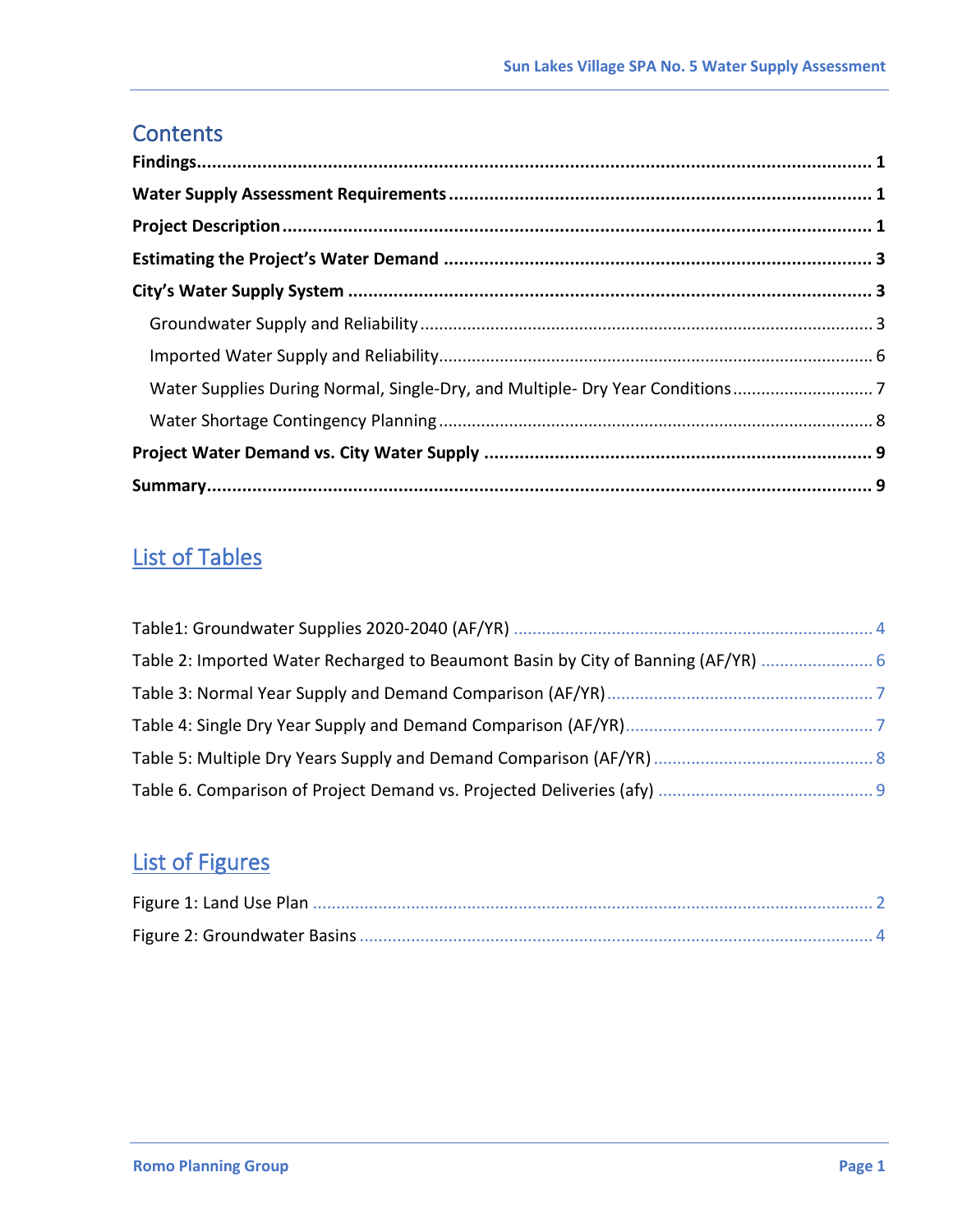# **Contents**

| Water Supplies During Normal, Single-Dry, and Multiple- Dry Year Conditions |  |
|-----------------------------------------------------------------------------|--|
|                                                                             |  |
|                                                                             |  |
|                                                                             |  |

# List of Tables

| Table 2: Imported Water Recharged to Beaumont Basin by City of Banning (AF/YR) |  |
|--------------------------------------------------------------------------------|--|
|                                                                                |  |
|                                                                                |  |
|                                                                                |  |
|                                                                                |  |

# List of Figures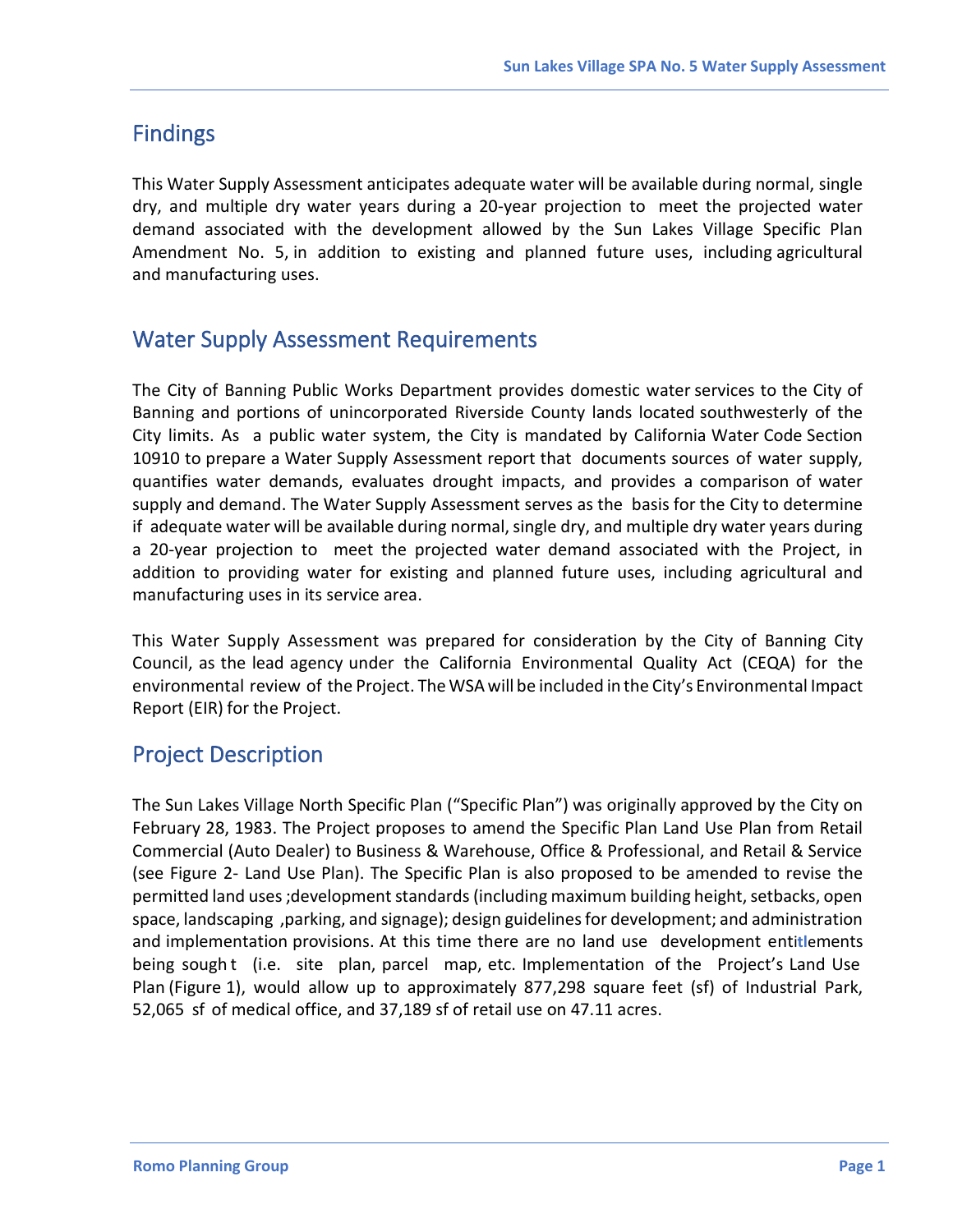# <span id="page-2-0"></span>Findings

This Water Supply Assessment anticipates adequate water will be available during normal, single dry, and multiple dry water years during a 20-year projection to meet the projected water demand associated with the development allowed by the Sun Lakes Village Specific Plan Amendment No. 5, in addition to existing and planned future uses, including agricultural and manufacturing uses.

### <span id="page-2-1"></span>Water Supply Assessment Requirements

The City of Banning Public Works Department provides domestic water services to the City of Banning and portions of unincorporated Riverside County lands located southwesterly of the City limits. As a public water system, the City is mandated by California Water Code Section 10910 to prepare a Water Supply Assessment report that documents sources of water supply, quantifies water demands, evaluates drought impacts, and provides a comparison of water supply and demand. The Water Supply Assessment serves as the basis for the City to determine if adequate water will be available during normal, single dry, and multiple dry water years during a 20-year projection to meet the projected water demand associated with the Project, in addition to providing water for existing and planned future uses, including agricultural and manufacturing uses in its service area.

This Water Supply Assessment was prepared for consideration by the City of Banning City Council, as the lead agency under the California Environmental Quality Act (CEQA) for the environmental review of the Project. The WSA will be included in the City's Environmental Impact Report (EIR) for the Project.

### <span id="page-2-2"></span>Project Description

The Sun Lakes Village North Specific Plan ("Specific Plan") was originally approved by the City on February 28, 1983. The Project proposes to amend the Specific Plan Land Use Plan from Retail Commercial (Auto Dealer) to Business & Warehouse, Office & Professional, and Retail & Service (see Figure 2- Land Use Plan). The Specific Plan is also proposed to be amended to revise the permitted land uses;development standards (including maximum building height, setbacks, open space, landscaping ,parking, and signage); design guidelines for development; and administration and implementation provisions. At this time there are no land use development enti**tl**ements being sought (i.e. site plan, parcel map, etc. Implementation of the Project's Land Use Plan (Figure 1), would allow up to approximately 877,298 square feet (sf) of Industrial Park, 52,065 sf of medical office, and 37,189 sf of retail use on 47.11 acres.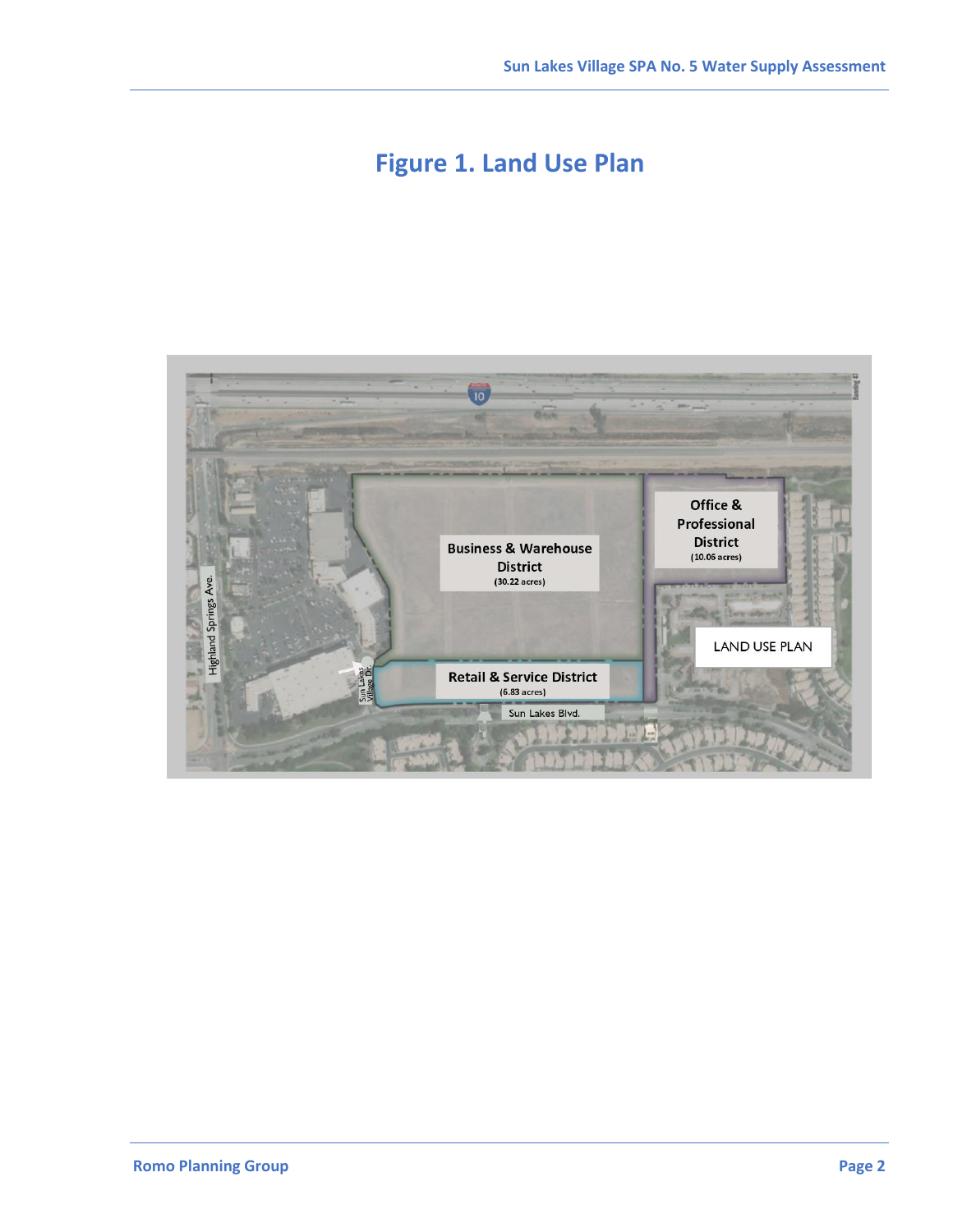# **Figure 1. Land Use Plan**

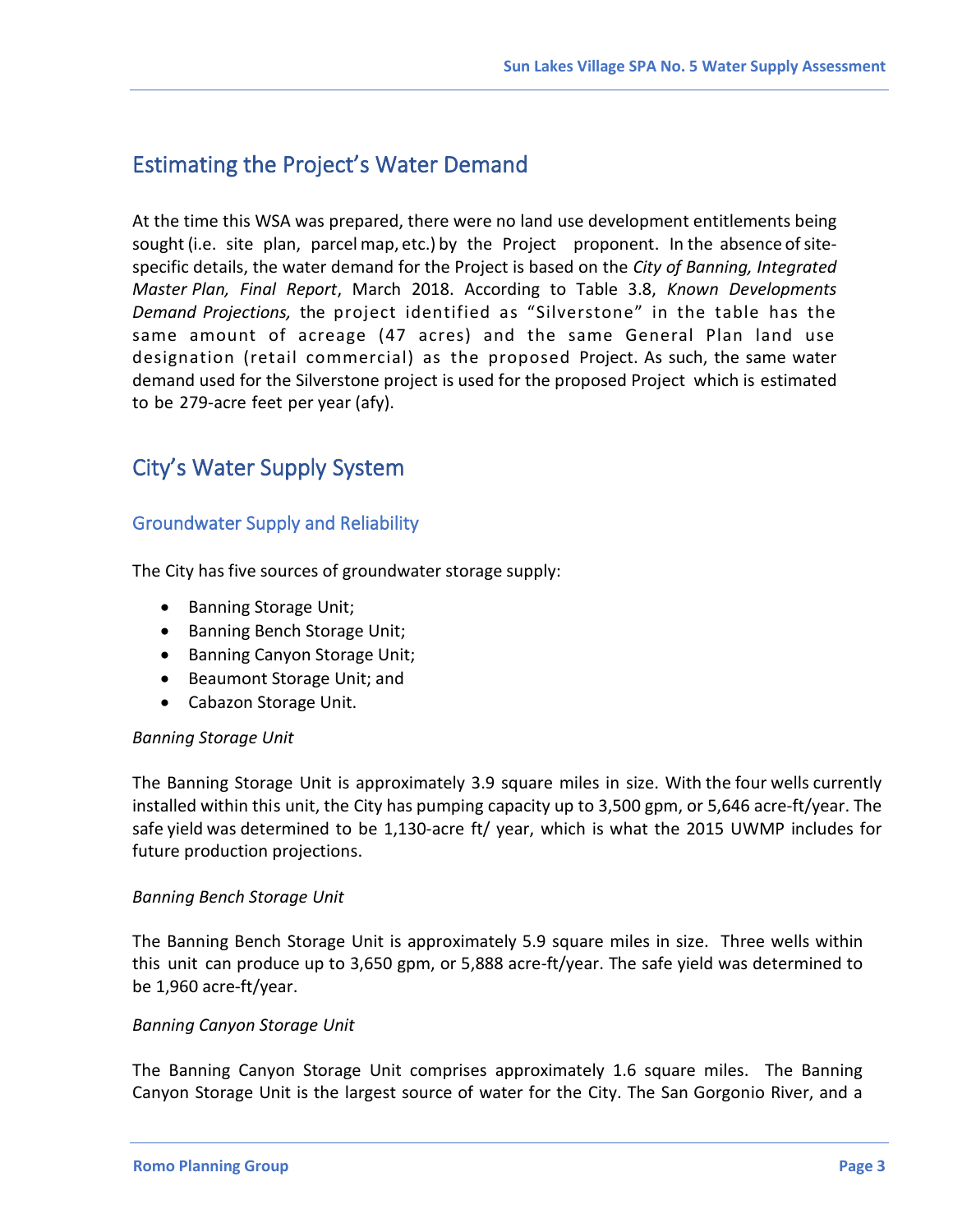### <span id="page-4-0"></span>Estimating the Project's Water Demand

At the time this WSA was prepared, there were no land use development entitlements being sought (i.e. site plan, parcel map, etc.) by the Project proponent. In the absence of sitespecific details, the water demand for the Project is based on the *City of Banning, Integrated Master Plan, Final Report*, March 2018. According to Table 3.8, *Known Developments Demand Projections,* the project identified as "Silverstone" in the table has the same amount of acreage (47 acres) and the same General Plan land use designation (retail commercial) as the proposed Project. As such, the same water demand used for the Silverstone project is used for the proposed Project which is estimated to be 279-acre feet per year (afy).

## <span id="page-4-1"></span>City's Water Supply System

#### <span id="page-4-2"></span>Groundwater Supply and Reliability

The City has five sources of groundwater storage supply:

- Banning Storage Unit;
- Banning Bench Storage Unit;
- Banning Canyon Storage Unit;
- Beaumont Storage Unit; and
- Cabazon Storage Unit.

#### *Banning Storage Unit*

The Banning Storage Unit is approximately 3.9 square miles in size. With the four wells currently installed within this unit, the City has pumping capacity up to 3,500 gpm, or 5,646 acre-ft/year. The safe yield was determined to be 1,130-acre ft/ year, which is what the 2015 UWMP includes for future production projections.

#### *Banning Bench Storage Unit*

The Banning Bench Storage Unit is approximately 5.9 square miles in size. Three wells within this unit can produce up to 3,650 gpm, or 5,888 acre-ft/year. The safe yield was determined to be 1,960 acre-ft/year.

#### *Banning Canyon Storage Unit*

The Banning Canyon Storage Unit comprises approximately 1.6 square miles. The Banning Canyon Storage Unit is the largest source of water for the City. The San Gorgonio River, and a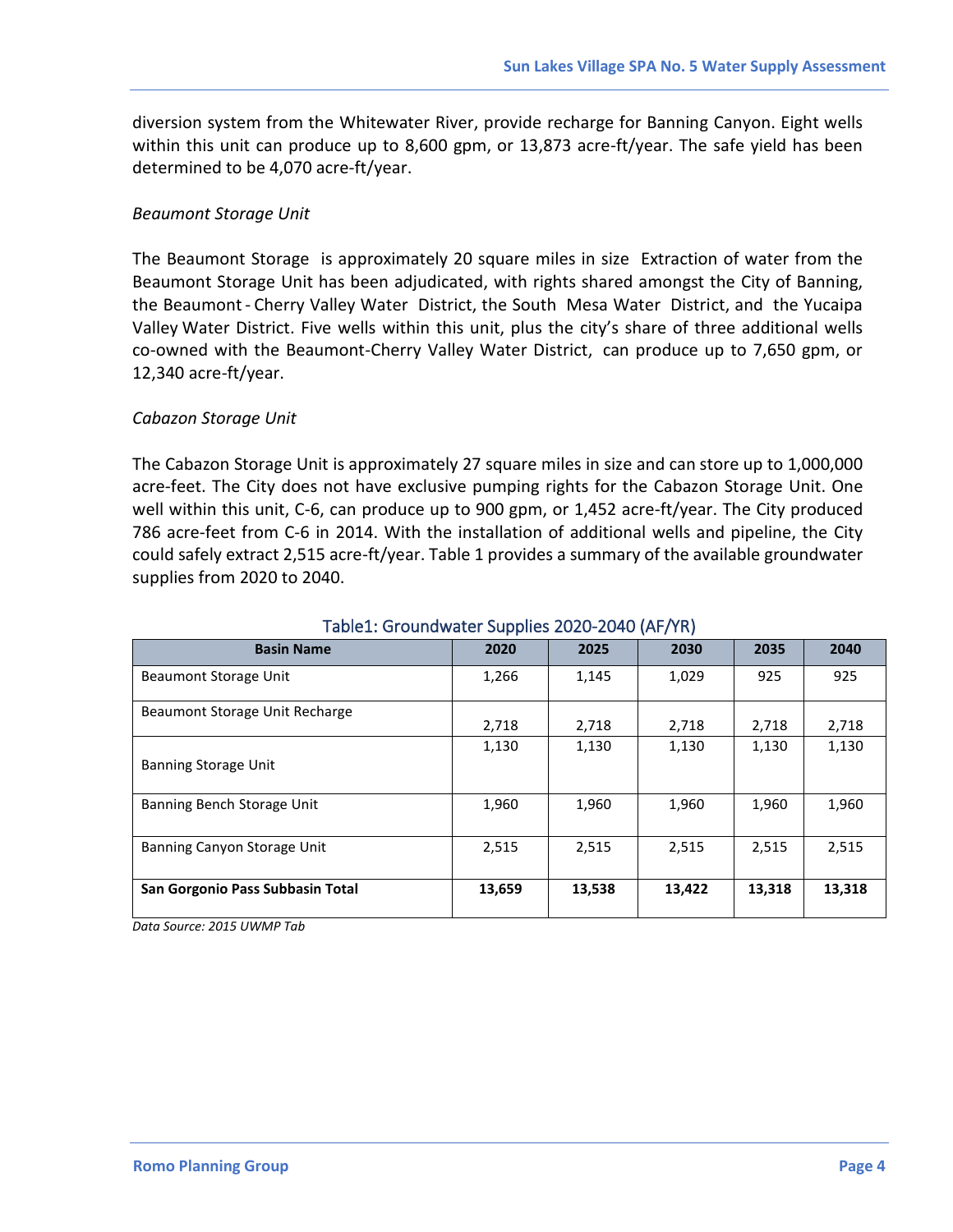diversion system from the Whitewater River, provide recharge for Banning Canyon. Eight wells within this unit can produce up to 8,600 gpm, or 13,873 acre-ft/year. The safe yield has been determined to be 4,070 acre-ft/year.

#### *Beaumont Storage Unit*

The Beaumont Storage is approximately 20 square miles in size Extraction of water from the Beaumont Storage Unit has been adjudicated, with rights shared amongst the City of Banning, the Beaumont- Cherry Valley Water District, the South Mesa Water District, and the Yucaipa Valley Water District. Five wells within this unit, plus the city's share of three additional wells co-owned with the Beaumont-Cherry Valley Water District, can produce up to 7,650 gpm, or 12,340 acre-ft/year.

#### *Cabazon Storage Unit*

The Cabazon Storage Unit is approximately 27 square miles in size and can store up to 1,000,000 acre-feet. The City does not have exclusive pumping rights for the Cabazon Storage Unit. One well within this unit, C-6, can produce up to 900 gpm, or 1,452 acre-ft/year. The City produced 786 acre-feet from C-6 in 2014. With the installation of additional wells and pipeline, the City could safely extract 2,515 acre-ft/year. Table 1 provides a summary of the available groundwater supplies from 2020 to 2040.

<span id="page-5-0"></span>

| <b>Basin Name</b>                | . .<br>2020 | 2025   | 2030   | 2035   | 2040   |
|----------------------------------|-------------|--------|--------|--------|--------|
| Beaumont Storage Unit            | 1,266       | 1,145  | 1,029  | 925    | 925    |
| Beaumont Storage Unit Recharge   | 2,718       | 2,718  | 2,718  | 2,718  | 2,718  |
| <b>Banning Storage Unit</b>      | 1,130       | 1,130  | 1,130  | 1,130  | 1,130  |
| Banning Bench Storage Unit       | 1,960       | 1,960  | 1,960  | 1,960  | 1,960  |
| Banning Canyon Storage Unit      | 2,515       | 2,515  | 2,515  | 2,515  | 2,515  |
| San Gorgonio Pass Subbasin Total | 13,659      | 13,538 | 13,422 | 13,318 | 13,318 |

#### Table1: Groundwater Supplies 2020-2040 (AF/YR)

*Data Source: 2015 UWMP Tab*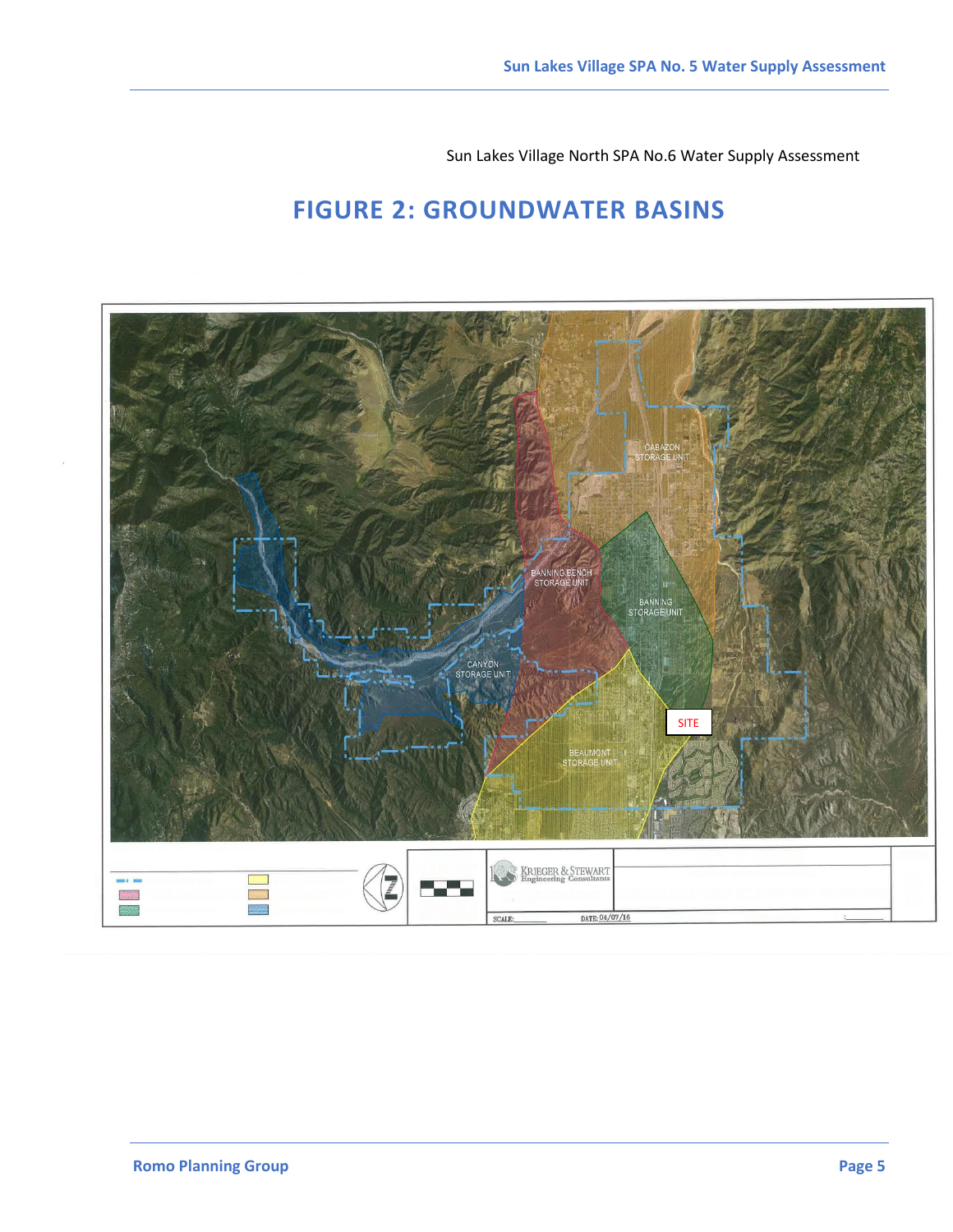Sun Lakes Village North SPA No.6 Water Supply Assessment

# **FIGURE 2: GROUNDWATER BASINS**

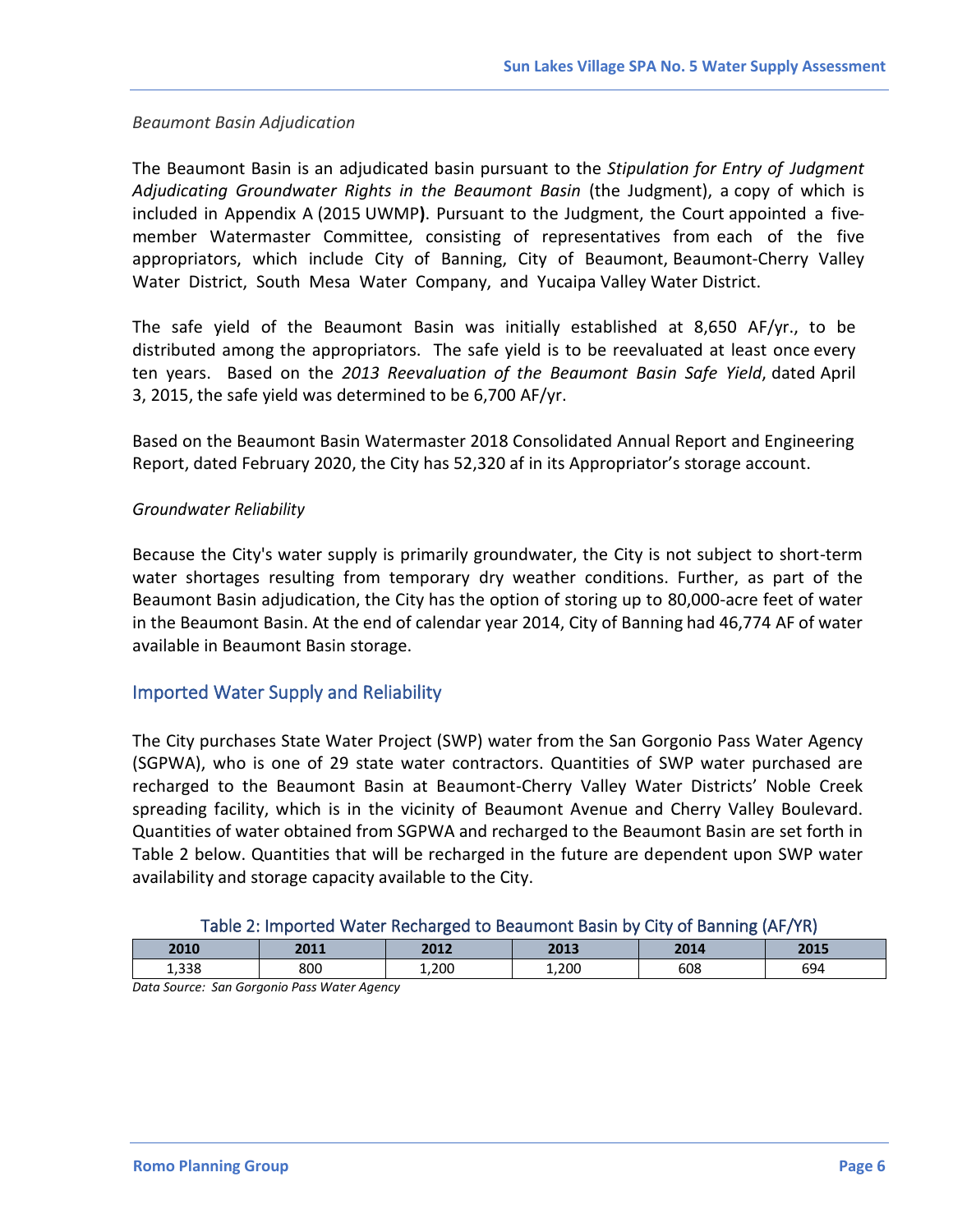#### *Beaumont Basin Adjudication*

The Beaumont Basin is an adjudicated basin pursuant to the *Stipulation for Entry of Judgment Adjudicating Groundwater Rights in the Beaumont Basin* (the Judgment), a copy of which is included in Appendix A (2015 UWMP**)**. Pursuant to the Judgment, the Court appointed a fivemember Watermaster Committee, consisting of representatives from each of the five appropriators, which include City of Banning, City of Beaumont, Beaumont-Cherry Valley Water District, South Mesa Water Company, and Yucaipa Valley Water District.

The safe yield of the Beaumont Basin was initially established at 8,650 AF/yr., to be distributed among the appropriators. The safe yield is to be reevaluated at least once every ten years. Based on the *2013 Reevaluation of the Beaumont Basin Safe Yield*, dated April 3, 2015, the safe yield was determined to be 6,700 AF/yr.

Based on the Beaumont Basin Watermaster 2018 Consolidated Annual Report and Engineering Report, dated February 2020, the City has 52,320 af in its Appropriator's storage account.

#### *Groundwater Reliability*

Because the City's water supply is primarily groundwater, the City is not subject to short-term water shortages resulting from temporary dry weather conditions. Further, as part of the Beaumont Basin adjudication, the City has the option of storing up to 80,000-acre feet of water in the Beaumont Basin. At the end of calendar year 2014, City of Banning had 46,774 AF of water available in Beaumont Basin storage.

#### <span id="page-7-0"></span>Imported Water Supply and Reliability

The City purchases State Water Project (SWP) water from the San Gorgonio Pass Water Agency (SGPWA), who is one of 29 state water contractors. Quantities of SWP water purchased are recharged to the Beaumont Basin at Beaumont-Cherry Valley Water Districts' Noble Creek spreading facility, which is in the vicinity of Beaumont Avenue and Cherry Valley Boulevard. Quantities of water obtained from SGPWA and recharged to the Beaumont Basin are set forth in Table 2 below. Quantities that will be recharged in the future are dependent upon SWP water availability and storage capacity available to the City.

| Table 2: Imported Water Recharged to Beaumont Basin by City of Banning (AF/YR) |  |
|--------------------------------------------------------------------------------|--|
|--------------------------------------------------------------------------------|--|

<span id="page-7-1"></span>

| 2010               | 3044<br>60.T | 2012<br>50 J.C | 3013<br>⊷∽ | 2011 | 304F<br>ZUIS |
|--------------------|--------------|----------------|------------|------|--------------|
| 1,338              | 800          | 1,200          | 1,200      | 608  | 694<br>ັັ    |
| _____<br>__<br>___ |              |                |            |      |              |

*Data Source: San Gorgonio Pass Water Agency*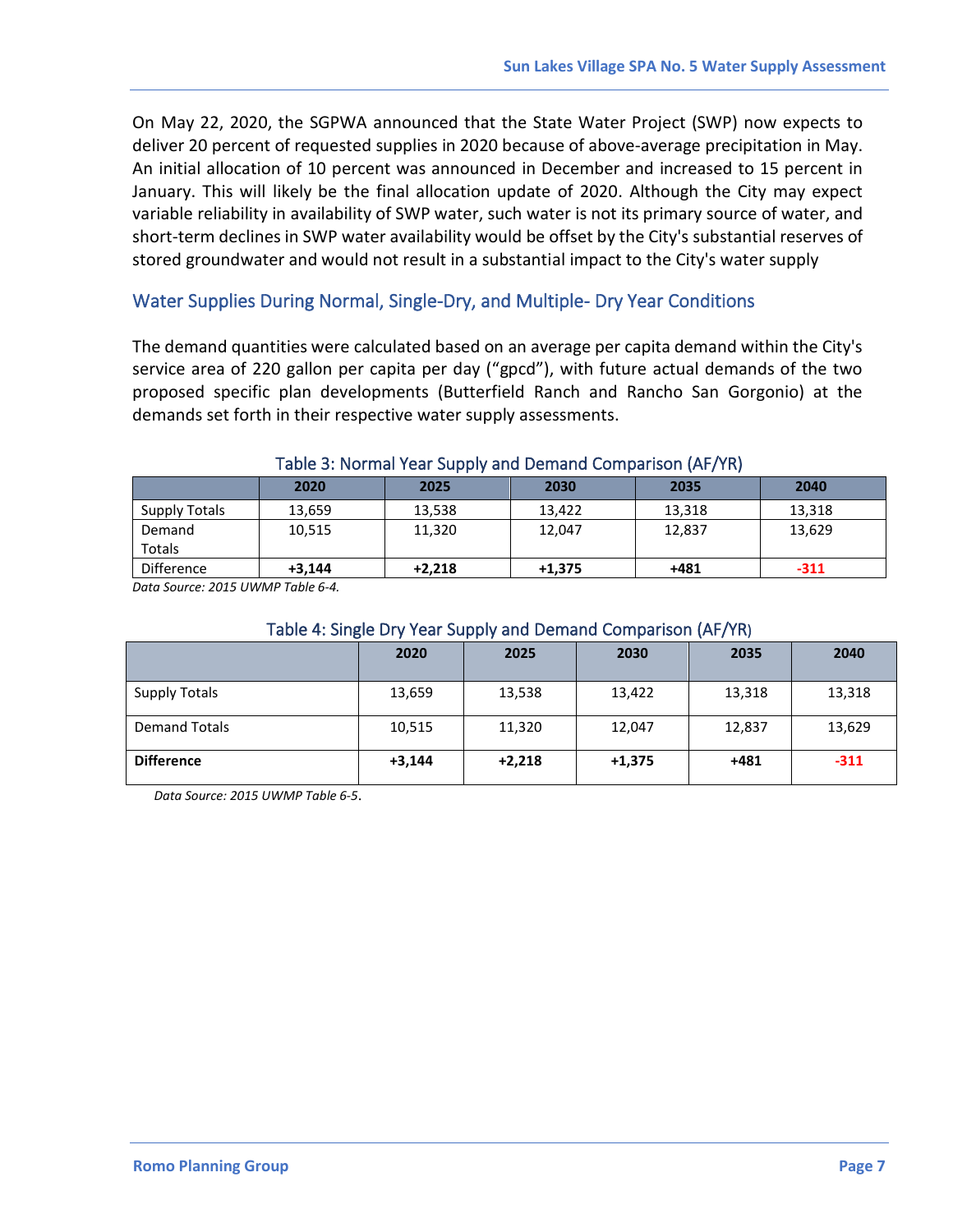On May 22, 2020, the SGPWA announced that the State Water Project (SWP) now expects to deliver 20 percent of requested supplies in 2020 because of above-average precipitation in May. An initial allocation of 10 percent was announced in December and increased to 15 percent in January. This will likely be the final allocation update of 2020. Although the City may expect variable reliability in availability of SWP water, such water is not its primary source of water, and short-term declines in SWP water availability would be offset by the City's substantial reserves of stored groundwater and would not result in a substantial impact to the City's water supply

#### <span id="page-8-0"></span>Water Supplies During Normal, Single‐Dry, and Multiple‐ Dry Year Conditions

The demand quantities were calculated based on an average per capita demand within the City's service area of 220 gallon per capita per day ("gpcd"), with future actual demands of the two proposed specific plan developments (Butterfield Ranch and Rancho San Gorgonio) at the demands set forth in their respective water supply assessments.

<span id="page-8-1"></span>

| $19000$ of the final teat eapply and being no comparison $\mu$ as $\mu$ |          |          |          |        |        |
|-------------------------------------------------------------------------|----------|----------|----------|--------|--------|
|                                                                         | 2020     | 2025     | 2030     | 2035   | 2040   |
| <b>Supply Totals</b>                                                    | 13.659   | 13,538   | 13.422   | 13,318 | 13,318 |
| Demand                                                                  | 10,515   | 11,320   | 12,047   | 12,837 | 13,629 |
| Totals                                                                  |          |          |          |        |        |
| Difference                                                              | $+3.144$ | $+2.218$ | $+1.375$ | $+481$ | $-311$ |

#### Table 3: Normal Year Supply and Demand Comparison (AF/YR)

*Data Source: 2015 UWMP Table 6-4.*

#### Table 4: Single Dry Year Supply and Demand Comparison (AF/YR)

<span id="page-8-2"></span>

|                      | 2020     | 2025     | 2030     | 2035   | 2040   |
|----------------------|----------|----------|----------|--------|--------|
| <b>Supply Totals</b> | 13,659   | 13,538   | 13,422   | 13,318 | 13,318 |
| <b>Demand Totals</b> | 10,515   | 11,320   | 12,047   | 12,837 | 13,629 |
| <b>Difference</b>    | $+3,144$ | $+2,218$ | $+1,375$ | +481   | $-311$ |

*Data Source: 2015 UWMP Table 6-5*.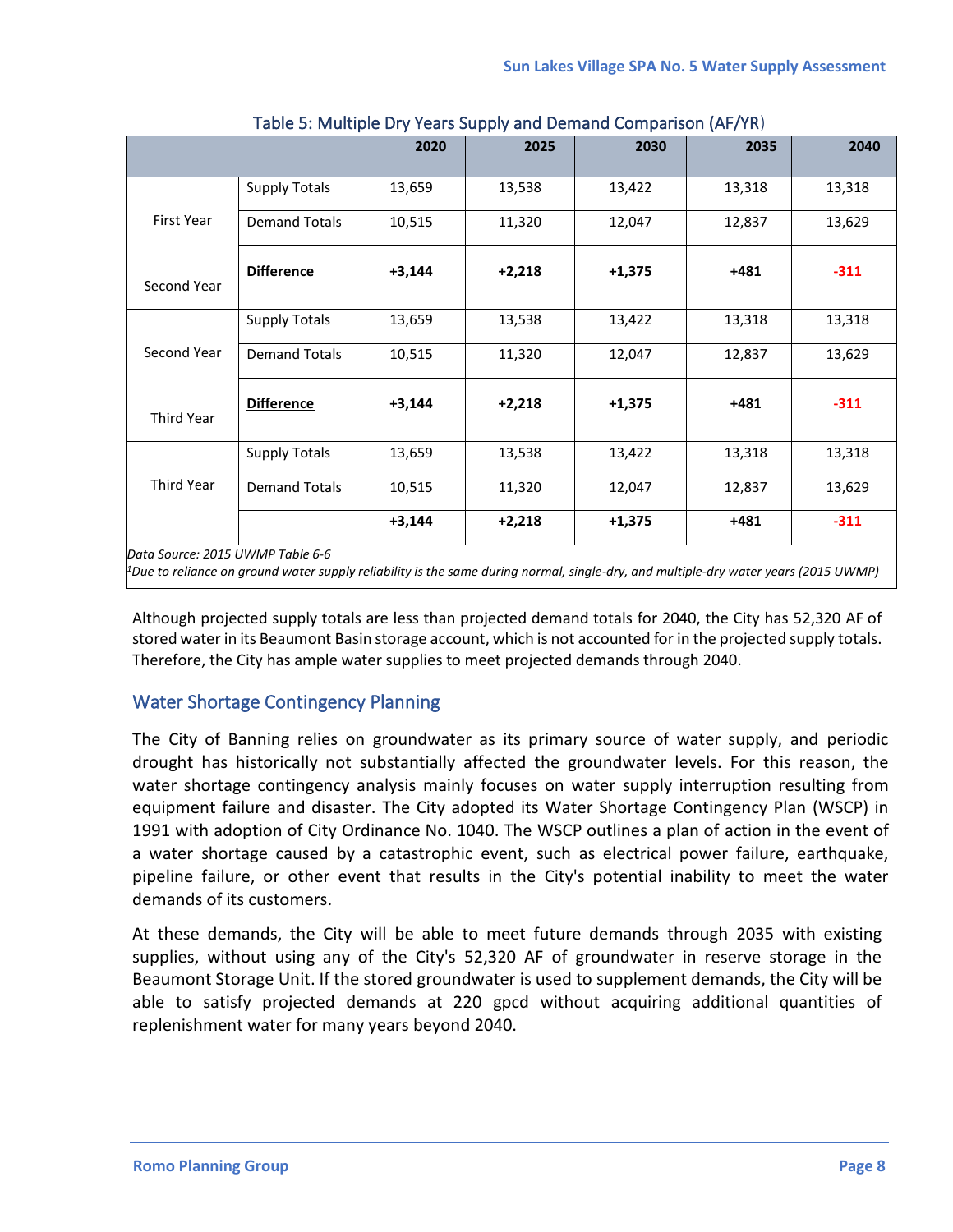<span id="page-9-1"></span>

|                                  |                      | 2020     | 2025     | 2030     | 2035   | 2040   |
|----------------------------------|----------------------|----------|----------|----------|--------|--------|
|                                  | <b>Supply Totals</b> | 13,659   | 13,538   | 13,422   | 13,318 | 13,318 |
| First Year                       | <b>Demand Totals</b> | 10,515   | 11,320   | 12,047   | 12,837 | 13,629 |
| Second Year                      | <b>Difference</b>    | $+3,144$ | $+2,218$ | $+1,375$ | $+481$ | $-311$ |
|                                  | <b>Supply Totals</b> | 13,659   | 13,538   | 13,422   | 13,318 | 13,318 |
| Second Year                      | <b>Demand Totals</b> | 10,515   | 11,320   | 12,047   | 12,837 | 13,629 |
| Third Year                       | <b>Difference</b>    | $+3,144$ | $+2,218$ | $+1,375$ | $+481$ | $-311$ |
|                                  | <b>Supply Totals</b> | 13,659   | 13,538   | 13,422   | 13,318 | 13,318 |
| Third Year                       | <b>Demand Totals</b> | 10,515   | 11,320   | 12,047   | 12,837 | 13,629 |
|                                  |                      | $+3,144$ | $+2,218$ | $+1,375$ | $+481$ | $-311$ |
| Data Source: 2015 UWMP Table 6-6 |                      |          |          | .        |        |        |

Table 5: Multiple Dry Years Supply and Demand Comparison (AF/YR)

 $^1$ Due to reliance on ground water supply reliability is the same during normal, single-dry, and multiple-dry water years (2015 UWMP)

Although projected supply totals are less than projected demand totals for 2040, the City has 52,320 AF of stored water in its Beaumont Basin storage account, which is not accounted for in the projected supply totals. Therefore, the City has ample water supplies to meet projected demands through 2040.

#### <span id="page-9-0"></span>Water Shortage Contingency Planning

The City of Banning relies on groundwater as its primary source of water supply, and periodic drought has historically not substantially affected the groundwater levels. For this reason, the water shortage contingency analysis mainly focuses on water supply interruption resulting from equipment failure and disaster. The City adopted its Water Shortage Contingency Plan (WSCP) in 1991 with adoption of City Ordinance No. 1040. The WSCP outlines a plan of action in the event of a water shortage caused by a catastrophic event, such as electrical power failure, earthquake, pipeline failure, or other event that results in the City's potential inability to meet the water demands of its customers.

At these demands, the City will be able to meet future demands through 2035 with existing supplies, without using any of the City's 52,320 AF of groundwater in reserve storage in the Beaumont Storage Unit. If the stored groundwater is used to supplement demands, the City will be able to satisfy projected demands at 220 gpcd without acquiring additional quantities of replenishment water for many years beyond 2040.